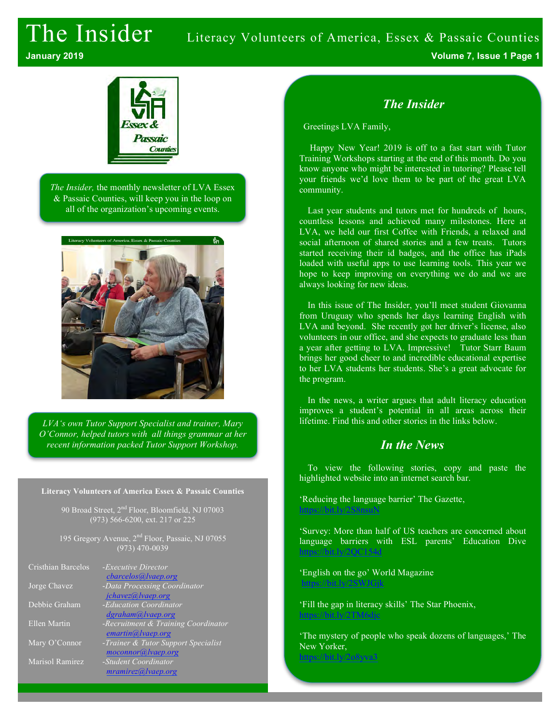# The Insider Literacy Volunteers of America, Essex & Passaic Counties **January 2019 Volume 7, Issue 1 Page 1**



*The Insider,* the monthly newsletter of LVA Essex & Passaic Counties, will keep you in the loop on all of the organization's upcoming events.



*LVA's own Tutor Support Specialist and trainer, Mary O'Connor, helped tutors with all things grammar at her recent information packed Tutor Support Workshop.*

#### **Literacy Volunteers of America Essex & Passaic Counties**

90 Broad Street, 2<sup>nd</sup> Floor, Bloomfield, NJ 07003 (973) 566-6200, ext. 217 or 225

195 Gregory Avenue, 2<sup>nd</sup> Floor, Passaic, NJ 07055 (973) 470-0039

| Cristhian Barcelos  | - <i>Executive Director</i><br>cbarcelos@lvaep.org        |
|---------------------|-----------------------------------------------------------|
| Jorge Chavez        | -Data Processing Coordinator<br>jchavez@lvaep.org         |
| Debbie Graham       | -Education Coordinator<br>dgraham@lvaep.org               |
| <b>Ellen Martin</b> | -Recruitment & Training Coordinator<br>emartin@lvaep.org  |
| Mary O'Connor       | -Trainer & Tutor Support Specialist<br>moconnor@lvaep.org |
| Marisol Ramirez     | -Student Coordinator<br>mramirez@ vaep.org                |

#### *The Insider*

Greetings LVA Family,

Happy New Year! 2019 is off to a fast start with Tutor Training Workshops starting at the end of this month. Do you know anyone who might be interested in tutoring? Please tell your friends we'd love them to be part of the great LVA community.

Last year students and tutors met for hundreds of hours, countless lessons and achieved many milestones. Here at LVA, we held our first Coffee with Friends, a relaxed and social afternoon of shared stories and a few treats. Tutors started receiving their id badges, and the office has iPads loaded with useful apps to use learning tools. This year we hope to keep improving on everything we do and we are always looking for new ideas.

In this issue of The Insider, you'll meet student Giovanna from Uruguay who spends her days learning English with LVA and beyond. She recently got her driver's license, also volunteers in our office, and she expects to graduate less than a year after getting to LVA. Impressive! Tutor Starr Baum brings her good cheer to and incredible educational expertise to her LVA students her students. She's a great advocate for the program.

In the news, a writer argues that adult literacy education improves a student's potential in all areas across their lifetime. Find this and other stories in the links below.

#### *In the News*

To view the following stories, copy and paste the highlighted website into an internet search bar.

'Reducing the language barrier' The Gazette, https://bit.ly/2S8nsu

'Survey: More than half of US teachers are concerned about language barriers with ESL parents' Education Dive https://bit.ly/2QC154d

'English on the go' World Magazine https://bit.ly/2SWJGjk

'Fill the gap in literacy skills' The Star Phoenix, https://bit.ly/2TM6djc

'The mystery of people who speak dozens of languages,' The New Yorker, https://bit.ly/2o8yva3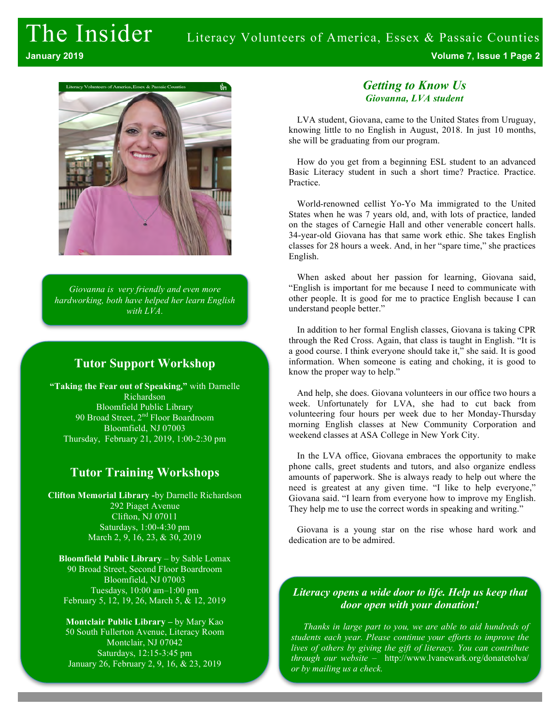

*Giovanna is very friendly and even more hardworking, both have helped her learn English with LVA.*

### **Tutor Support Workshop**

**"Taking the Fear out of Speaking,"** with Darnelle Richardson Bloomfield Public Library 90 Broad Street, 2<sup>nd</sup> Floor Boardroom Bloomfield, NJ 07003 Thursday, February 21, 2019, 1:00-2:30 pm

### **Tutor Training Workshops**

**Clifton Memorial Library -**by Darnelle Richardson 292 Piaget Avenue Clifton, NJ 07011 Saturdays, 1:00-4:30 pm March 2, 9, 16, 23, & 30, 2019

**Bloomfield Public Library** – by Sable Lomax 90 Broad Street, Second Floor Boardroom Bloomfield, NJ 07003 Tuesdays, 10:00 am–1:00 pm February 5, 12, 19, 26, March 5, & 12, 2019

**Montclair Public Library –** by Mary Kao 50 South Fullerton Avenue, Literacy Room Montclair, NJ 07042 Saturdays, 12:15-3:45 pm January 26, February 2, 9, 16, & 23, 2019

#### *Getting to Know Us Giovanna, LVA student*

LVA student, Giovana, came to the United States from Uruguay, knowing little to no English in August, 2018. In just 10 months, she will be graduating from our program.

How do you get from a beginning ESL student to an advanced Basic Literacy student in such a short time? Practice. Practice. Practice.

World-renowned cellist Yo-Yo Ma immigrated to the United States when he was 7 years old, and, with lots of practice, landed on the stages of Carnegie Hall and other venerable concert halls. 34-year-old Giovana has that same work ethic. She takes English classes for 28 hours a week. And, in her "spare time," she practices English.

When asked about her passion for learning, Giovana said, "English is important for me because I need to communicate with other people. It is good for me to practice English because I can understand people better."

In addition to her formal English classes, Giovana is taking CPR through the Red Cross. Again, that class is taught in English. "It is a good course. I think everyone should take it," she said. It is good information. When someone is eating and choking, it is good to know the proper way to help."

And help, she does. Giovana volunteers in our office two hours a week. Unfortunately for LVA, she had to cut back from volunteering four hours per week due to her Monday-Thursday morning English classes at New Community Corporation and weekend classes at ASA College in New York City.

In the LVA office, Giovana embraces the opportunity to make phone calls, greet students and tutors, and also organize endless amounts of paperwork. She is always ready to help out where the need is greatest at any given time. "I like to help everyone," Giovana said. "I learn from everyone how to improve my English. They help me to use the correct words in speaking and writing."

Giovana is a young star on the rise whose hard work and dedication are to be admired.

#### *Literacy opens a wide door to life. Help us keep that door open with your donation!*

*Thanks in large part to you, we are able to aid hundreds of students each year. Please continue your efforts to improve the lives of others by giving the gift of literacy. You can contribute through our website* – http://www.lvanewark.org/donatetolva/ *or by mailing us a check.*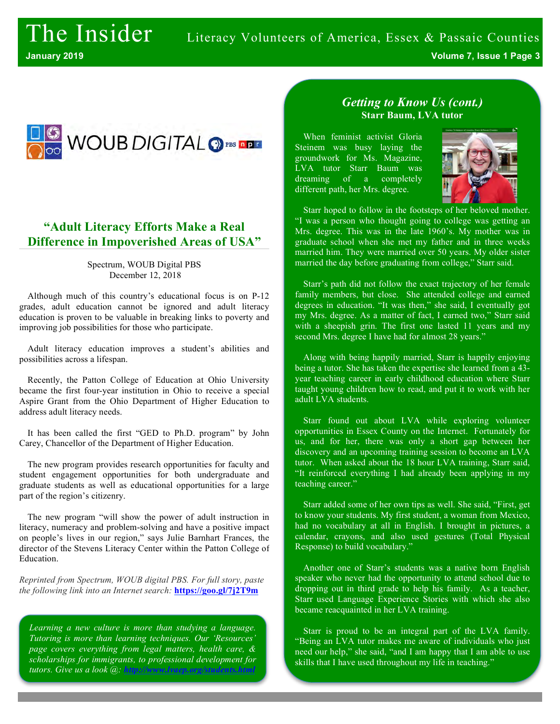

### **"Adult Literacy Efforts Make a Real Difference in Impoverished Areas of USA"**

Spectrum, WOUB Digital PBS December 12, 2018

Although much of this country's educational focus is on P-12 grades, adult education cannot be ignored and adult literacy education is proven to be valuable in breaking links to poverty and improving job possibilities for those who participate.

Adult literacy education improves a student's abilities and possibilities across a lifespan.

Recently, the Patton College of Education at Ohio University became the first four-year institution in Ohio to receive a special Aspire Grant from the Ohio Department of Higher Education to address adult literacy needs.

It has been called the first "GED to Ph.D. program" by John Carey, Chancellor of the Department of Higher Education.

The new program provides research opportunities for faculty and student engagement opportunities for both undergraduate and graduate students as well as educational opportunities for a large part of the region's citizenry.

The new program "will show the power of adult instruction in literacy, numeracy and problem-solving and have a positive impact on people's lives in our region," says Julie Barnhart Frances, the director of the Stevens Literacy Center within the Patton College of Education.

*Reprinted from Spectrum, WOUB digital PBS. For full story, paste the following link into an Internet search:* **https://goo.gl/7j2T9m**

*Learning a new culture is more than studying a language. Tutoring is more than learning techniques. Our 'Resources' page covers everything from legal matters, health care, & scholarships for immigrants, to professional development for tutors. Give us a look @: http://www.lutors.html* 

#### *Getting to Know Us (cont.)* **Starr Baum, LVA tutor**

When feminist activist Gloria Steinem was busy laying the groundwork for Ms. Magazine, LVA tutor Starr Baum was dreaming of a completely different path, her Mrs. degree.



Starr hoped to follow in the footsteps of her beloved mother. "I was a person who thought going to college was getting an Mrs. degree. This was in the late 1960's. My mother was in graduate school when she met my father and in three weeks married him. They were married over 50 years. My older sister married the day before graduating from college," Starr said.

Starr's path did not follow the exact trajectory of her female family members, but close. She attended college and earned degrees in education. "It was then," she said, I eventually got my Mrs. degree. As a matter of fact, I earned two," Starr said with a sheepish grin. The first one lasted 11 years and my second Mrs. degree I have had for almost 28 years."

Along with being happily married, Starr is happily enjoying being a tutor. She has taken the expertise she learned from a 43 year teaching career in early childhood education where Starr taught young children how to read, and put it to work with her adult LVA students.

Starr found out about LVA while exploring volunteer opportunities in Essex County on the Internet. Fortunately for us, and for her, there was only a short gap between her discovery and an upcoming training session to become an LVA tutor. When asked about the 18 hour LVA training, Starr said, "It reinforced everything I had already been applying in my teaching career."

Starr added some of her own tips as well. She said, "First, get to know your students. My first student, a woman from Mexico, had no vocabulary at all in English. I brought in pictures, a calendar, crayons, and also used gestures (Total Physical Response) to build vocabulary."

Another one of Starr's students was a native born English speaker who never had the opportunity to attend school due to dropping out in third grade to help his family. As a teacher, Starr used Language Experience Stories with which she also became reacquainted in her LVA training.

Starr is proud to be an integral part of the LVA family. "Being an LVA tutor makes me aware of individuals who just need our help," she said, "and I am happy that I am able to use skills that I have used throughout my life in teaching."